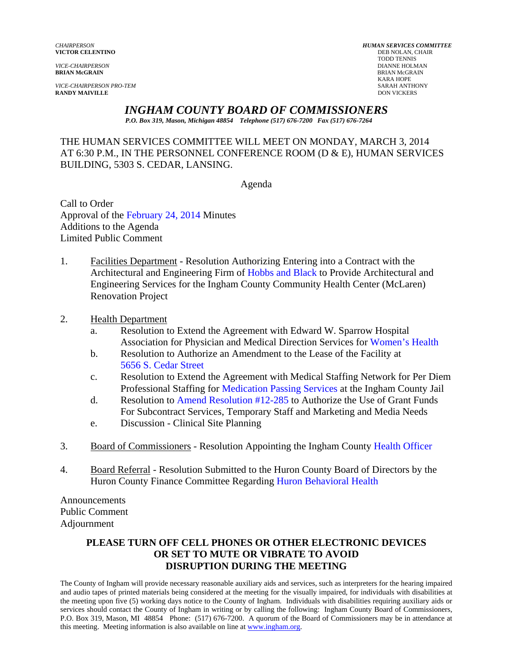*VICE-CHAIRPERSON PRO-TEM* SARAH ANTHONY **RANDY MAIVILLE** 

*CHAIRPERSON HUMAN SERVICES COMMITTEE* **VICTOR CELENTINO**<br>
TODD TENNIS TODD TENNIS *VICE-CHAIRPERSON* DIANNE HOLMAN **BRIAN McGRAIN** BRIAN McGRAIN KARA HOPE

#### *INGHAM COUNTY BOARD OF COMMISSIONERS*

*P.O. Box 319, Mason, Michigan 48854 Telephone (517) 676-7200 Fax (517) 676-7264*

#### THE HUMAN SERVICES COMMITTEE WILL MEET ON MONDAY, MARCH 3, 2014 AT 6:30 P.M., IN THE PERSONNEL CONFERENCE ROOM (D & E), HUMAN SERVICES BUILDING, 5303 S. CEDAR, LANSING.

Agenda

Call to Order Approval of [the February 24, 2014 Minutes](#page-1-0)  Additions to the Agenda Limited Public Comment

- 1. Facilities Department Resolution Authorizing Entering into a Contract with the Architectural and Engineering Fir[m of Hobbs and Black to Provide Arch](#page-7-0)itectural and Engineering Services for the Ingham County Community Health Center (McLaren) Renovation Project
- 2. Health Department
	- a. Resolution to Extend the Agreement with Edward W. Sparrow Hospital Association for Physician and Medical Direction Service[s for Women's Health](#page-11-0)
	- b. Resolution to Authorize an Amendment to the Lease of the Facility at [5656 S. Cedar Street](#page-13-0)
	- c. Resolution to Extend the Agreement with Medical Staffing Network for Per Diem Professional Staffing for [Medication Passing Services at the Ingham](#page-16-0) County Jail
	- d. Resolution to Amend Resolution #12-285 to Authorize the Use of Grant Funds For Subcon[tract Services, Temporary Staff and Marke](#page-18-0)ting and Media Needs
	- e. Discussion Clinical Site Planning
- 3. Board of Commissioners Resolution Appointing the Ingham Cou[nty Health Officer](#page-21-0)
- 4. Board Referral Resolution Submitted to the Huron County Board of Directors by the Huron County Finance Committee Regardi[ng Huron Behavioral Health](#page-22-0)

Announcements Public Comment Adjournment

#### **PLEASE TURN OFF CELL PHONES OR OTHER ELECTRONIC DEVICES OR SET TO MUTE OR VIBRATE TO AVOID DISRUPTION DURING THE MEETING**

The County of Ingham will provide necessary reasonable auxiliary aids and services, such as interpreters for the hearing impaired and audio tapes of printed materials being considered at the meeting for the visually impaired, for individuals with disabilities at the meeting upon five (5) working days notice to the County of Ingham. Individuals with disabilities requiring auxiliary aids or services should contact the County of Ingham in writing or by calling the following: Ingham County Board of Commissioners, P.O. Box 319, Mason, MI 48854 Phone: (517) 676-7200. A quorum of the Board of Commissioners may be in attendance at this meeting. Meeting information is also available on line at www.ingham.org.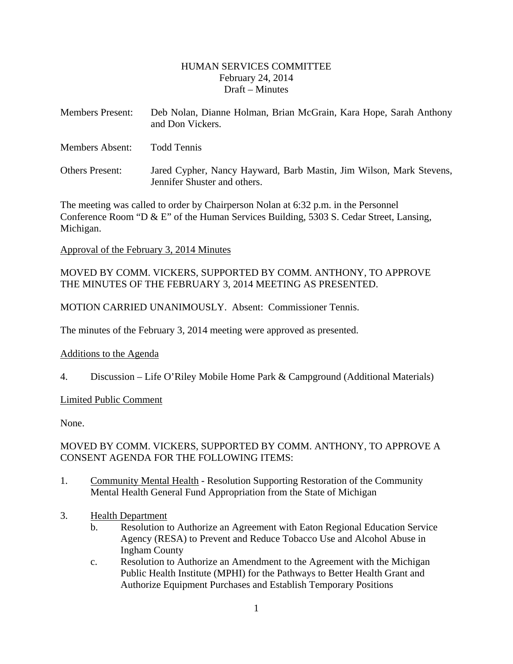#### HUMAN SERVICES COMMITTEE February 24, 2014 Draft – Minutes

<span id="page-1-0"></span>

| <b>Members Present:</b> | Deb Nolan, Dianne Holman, Brian McGrain, Kara Hope, Sarah Anthony<br>and Don Vickers.               |
|-------------------------|-----------------------------------------------------------------------------------------------------|
| <b>Members Absent:</b>  | Todd Tennis                                                                                         |
| <b>Others Present:</b>  | Jared Cypher, Nancy Hayward, Barb Mastin, Jim Wilson, Mark Stevens,<br>Jennifer Shuster and others. |

The meeting was called to order by Chairperson Nolan at 6:32 p.m. in the Personnel Conference Room "D & E" of the Human Services Building, 5303 S. Cedar Street, Lansing, Michigan.

Approval of the February 3, 2014 Minutes

MOVED BY COMM. VICKERS, SUPPORTED BY COMM. ANTHONY, TO APPROVE THE MINUTES OF THE FEBRUARY 3, 2014 MEETING AS PRESENTED.

MOTION CARRIED UNANIMOUSLY. Absent: Commissioner Tennis.

The minutes of the February 3, 2014 meeting were approved as presented.

#### Additions to the Agenda

4. Discussion – Life O'Riley Mobile Home Park & Campground (Additional Materials)

#### Limited Public Comment

None.

#### MOVED BY COMM. VICKERS, SUPPORTED BY COMM. ANTHONY, TO APPROVE A CONSENT AGENDA FOR THE FOLLOWING ITEMS:

- 1. Community Mental Health Resolution Supporting Restoration of the Community Mental Health General Fund Appropriation from the State of Michigan
- 3. Health Department
	- b. Resolution to Authorize an Agreement with Eaton Regional Education Service Agency (RESA) to Prevent and Reduce Tobacco Use and Alcohol Abuse in Ingham County
	- c. Resolution to Authorize an Amendment to the Agreement with the Michigan Public Health Institute (MPHI) for the Pathways to Better Health Grant and Authorize Equipment Purchases and Establish Temporary Positions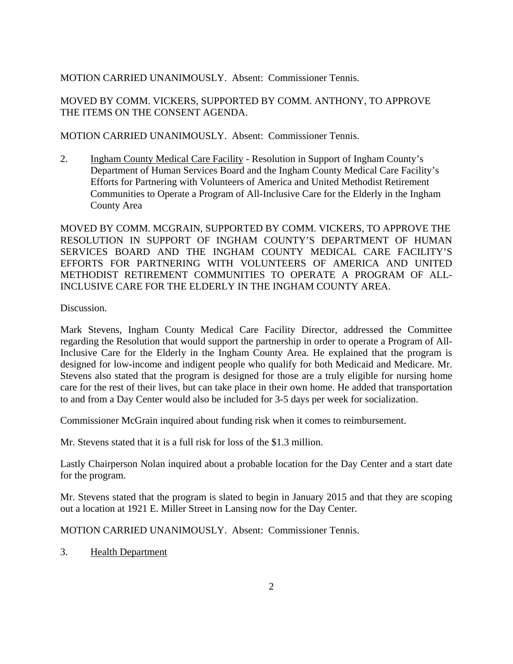#### MOTION CARRIED UNANIMOUSLY. Absent: Commissioner Tennis.

MOVED BY COMM. VICKERS, SUPPORTED BY COMM. ANTHONY, TO APPROVE THE ITEMS ON THE CONSENT AGENDA.

MOTION CARRIED UNANIMOUSLY. Absent: Commissioner Tennis.

2. Ingham County Medical Care Facility - Resolution in Support of Ingham County's Department of Human Services Board and the Ingham County Medical Care Facility's Efforts for Partnering with Volunteers of America and United Methodist Retirement Communities to Operate a Program of All-Inclusive Care for the Elderly in the Ingham County Area

MOVED BY COMM. MCGRAIN, SUPPORTED BY COMM. VICKERS, TO APPROVE THE RESOLUTION IN SUPPORT OF INGHAM COUNTY'S DEPARTMENT OF HUMAN SERVICES BOARD AND THE INGHAM COUNTY MEDICAL CARE FACILITY'S EFFORTS FOR PARTNERING WITH VOLUNTEERS OF AMERICA AND UNITED METHODIST RETIREMENT COMMUNITIES TO OPERATE A PROGRAM OF ALL-INCLUSIVE CARE FOR THE ELDERLY IN THE INGHAM COUNTY AREA.

Discussion.

Mark Stevens, Ingham County Medical Care Facility Director, addressed the Committee regarding the Resolution that would support the partnership in order to operate a Program of All-Inclusive Care for the Elderly in the Ingham County Area. He explained that the program is designed for low-income and indigent people who qualify for both Medicaid and Medicare. Mr. Stevens also stated that the program is designed for those are a truly eligible for nursing home care for the rest of their lives, but can take place in their own home. He added that transportation to and from a Day Center would also be included for 3-5 days per week for socialization.

Commissioner McGrain inquired about funding risk when it comes to reimbursement.

Mr. Stevens stated that it is a full risk for loss of the \$1.3 million.

Lastly Chairperson Nolan inquired about a probable location for the Day Center and a start date for the program.

Mr. Stevens stated that the program is slated to begin in January 2015 and that they are scoping out a location at 1921 E. Miller Street in Lansing now for the Day Center.

MOTION CARRIED UNANIMOUSLY. Absent: Commissioner Tennis.

3. Health Department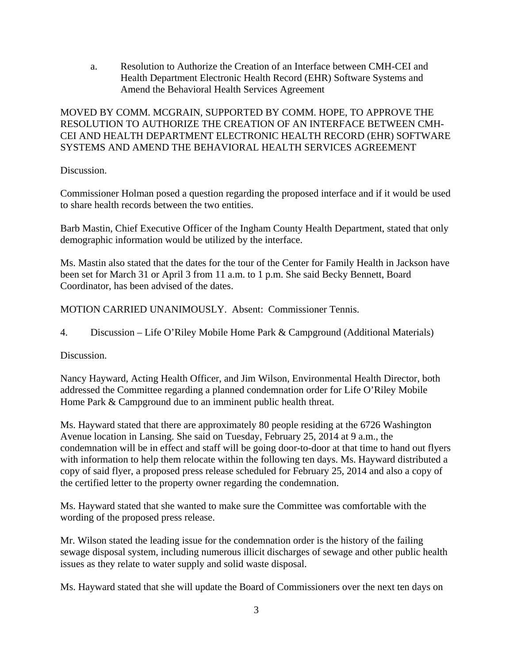a. Resolution to Authorize the Creation of an Interface between CMH-CEI and Health Department Electronic Health Record (EHR) Software Systems and Amend the Behavioral Health Services Agreement

#### MOVED BY COMM. MCGRAIN, SUPPORTED BY COMM. HOPE, TO APPROVE THE RESOLUTION TO AUTHORIZE THE CREATION OF AN INTERFACE BETWEEN CMH-CEI AND HEALTH DEPARTMENT ELECTRONIC HEALTH RECORD (EHR) SOFTWARE SYSTEMS AND AMEND THE BEHAVIORAL HEALTH SERVICES AGREEMENT

#### Discussion.

Commissioner Holman posed a question regarding the proposed interface and if it would be used to share health records between the two entities.

Barb Mastin, Chief Executive Officer of the Ingham County Health Department, stated that only demographic information would be utilized by the interface.

Ms. Mastin also stated that the dates for the tour of the Center for Family Health in Jackson have been set for March 31 or April 3 from 11 a.m. to 1 p.m. She said Becky Bennett, Board Coordinator, has been advised of the dates.

MOTION CARRIED UNANIMOUSLY. Absent: Commissioner Tennis.

4. Discussion – Life O'Riley Mobile Home Park & Campground (Additional Materials)

#### Discussion.

Nancy Hayward, Acting Health Officer, and Jim Wilson, Environmental Health Director, both addressed the Committee regarding a planned condemnation order for Life O'Riley Mobile Home Park & Campground due to an imminent public health threat.

Ms. Hayward stated that there are approximately 80 people residing at the 6726 Washington Avenue location in Lansing. She said on Tuesday, February 25, 2014 at 9 a.m., the condemnation will be in effect and staff will be going door-to-door at that time to hand out flyers with information to help them relocate within the following ten days. Ms. Hayward distributed a copy of said flyer, a proposed press release scheduled for February 25, 2014 and also a copy of the certified letter to the property owner regarding the condemnation.

Ms. Hayward stated that she wanted to make sure the Committee was comfortable with the wording of the proposed press release.

Mr. Wilson stated the leading issue for the condemnation order is the history of the failing sewage disposal system, including numerous illicit discharges of sewage and other public health issues as they relate to water supply and solid waste disposal.

Ms. Hayward stated that she will update the Board of Commissioners over the next ten days on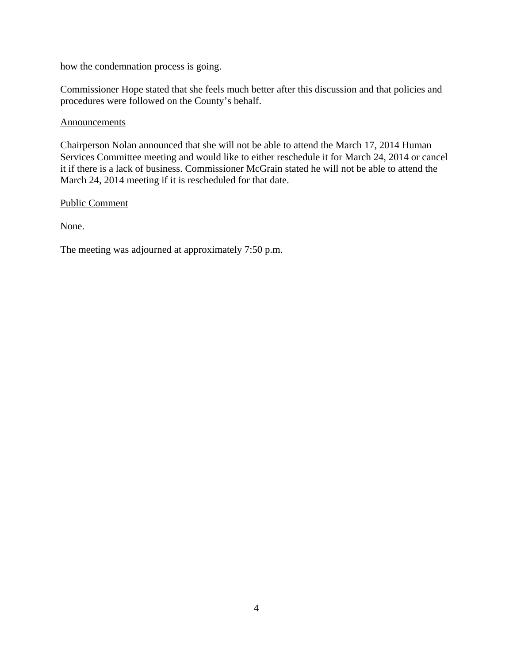how the condemnation process is going.

Commissioner Hope stated that she feels much better after this discussion and that policies and procedures were followed on the County's behalf.

#### **Announcements**

Chairperson Nolan announced that she will not be able to attend the March 17, 2014 Human Services Committee meeting and would like to either reschedule it for March 24, 2014 or cancel it if there is a lack of business. Commissioner McGrain stated he will not be able to attend the March 24, 2014 meeting if it is rescheduled for that date.

Public Comment

None.

The meeting was adjourned at approximately 7:50 p.m.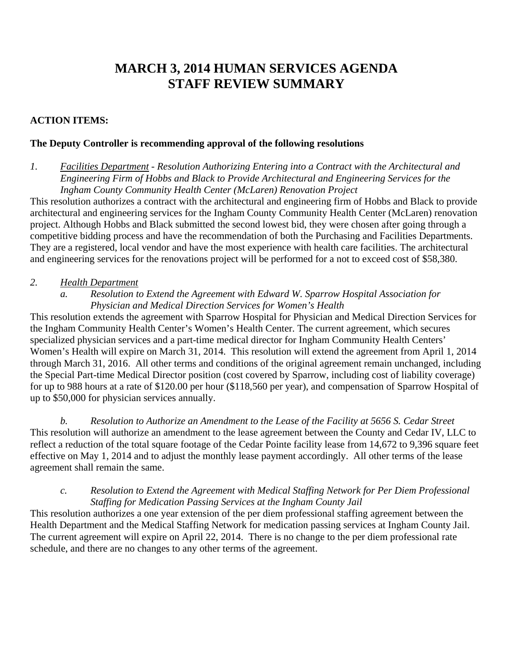# **MARCH 3, 2014 HUMAN SERVICES AGENDA STAFF REVIEW SUMMARY**

#### **ACTION ITEMS:**

#### **The Deputy Controller is recommending approval of the following resolutions**

*1. Facilities Department - Resolution Authorizing Entering into a Contract with the Architectural and Engineering Firm of Hobbs and Black to Provide Architectural and Engineering Services for the Ingham County Community Health Center (McLaren) Renovation Project* 

This resolution authorizes a contract with the architectural and engineering firm of Hobbs and Black to provide architectural and engineering services for the Ingham County Community Health Center (McLaren) renovation project. Although Hobbs and Black submitted the second lowest bid, they were chosen after going through a competitive bidding process and have the recommendation of both the Purchasing and Facilities Departments. They are a registered, local vendor and have the most experience with health care facilities. The architectural and engineering services for the renovations project will be performed for a not to exceed cost of \$58,380.

#### *2. Health Department*

*a. Resolution to Extend the Agreement with Edward W. Sparrow Hospital Association for Physician and Medical Direction Services for Women's Health* 

This resolution extends the agreement with Sparrow Hospital for Physician and Medical Direction Services for the Ingham Community Health Center's Women's Health Center. The current agreement, which secures specialized physician services and a part-time medical director for Ingham Community Health Centers' Women's Health will expire on March 31, 2014. This resolution will extend the agreement from April 1, 2014 through March 31, 2016. All other terms and conditions of the original agreement remain unchanged, including the Special Part-time Medical Director position (cost covered by Sparrow, including cost of liability coverage) for up to 988 hours at a rate of \$120.00 per hour (\$118,560 per year), and compensation of Sparrow Hospital of up to \$50,000 for physician services annually.

*b. Resolution to Authorize an Amendment to the Lease of the Facility at 5656 S. Cedar Street*  This resolution will authorize an amendment to the lease agreement between the County and Cedar IV, LLC to reflect a reduction of the total square footage of the Cedar Pointe facility lease from 14,672 to 9,396 square feet effective on May 1, 2014 and to adjust the monthly lease payment accordingly. All other terms of the lease agreement shall remain the same.

#### *c. Resolution to Extend the Agreement with Medical Staffing Network for Per Diem Professional Staffing for Medication Passing Services at the Ingham County Jail*

This resolution authorizes a one year extension of the per diem professional staffing agreement between the Health Department and the Medical Staffing Network for medication passing services at Ingham County Jail. The current agreement will expire on April 22, 2014. There is no change to the per diem professional rate schedule, and there are no changes to any other terms of the agreement.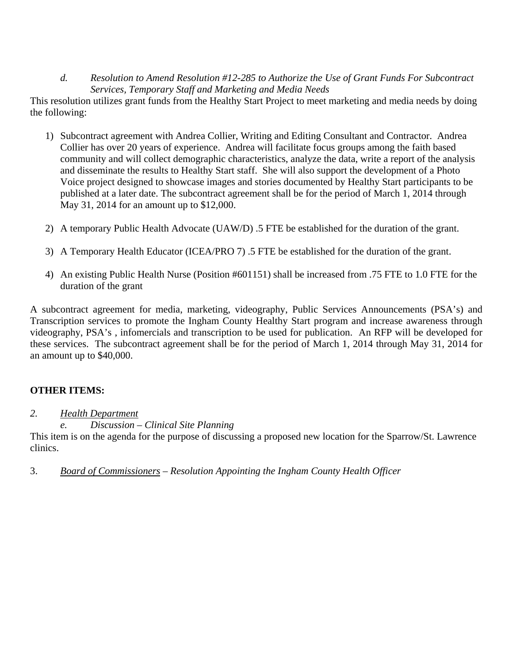#### *d. Resolution to Amend Resolution #12-285 to Authorize the Use of Grant Funds For Subcontract Services, Temporary Staff and Marketing and Media Needs*

This resolution utilizes grant funds from the Healthy Start Project to meet marketing and media needs by doing the following:

- 1) Subcontract agreement with Andrea Collier, Writing and Editing Consultant and Contractor. Andrea Collier has over 20 years of experience. Andrea will facilitate focus groups among the faith based community and will collect demographic characteristics, analyze the data, write a report of the analysis and disseminate the results to Healthy Start staff. She will also support the development of a Photo Voice project designed to showcase images and stories documented by Healthy Start participants to be published at a later date. The subcontract agreement shall be for the period of March 1, 2014 through May 31, 2014 for an amount up to \$12,000.
- 2) A temporary Public Health Advocate (UAW/D) .5 FTE be established for the duration of the grant.
- 3) A Temporary Health Educator (ICEA/PRO 7) .5 FTE be established for the duration of the grant.
- 4) An existing Public Health Nurse (Position #601151) shall be increased from .75 FTE to 1.0 FTE for the duration of the grant

A subcontract agreement for media, marketing, videography, Public Services Announcements (PSA's) and Transcription services to promote the Ingham County Healthy Start program and increase awareness through videography, PSA's , infomercials and transcription to be used for publication. An RFP will be developed for these services. The subcontract agreement shall be for the period of March 1, 2014 through May 31, 2014 for an amount up to \$40,000.

### **OTHER ITEMS:**

#### *2. Health Department*

#### *e. Discussion – Clinical Site Planning*

This item is on the agenda for the purpose of discussing a proposed new location for the Sparrow/St. Lawrence clinics.

3. *Board of Commissioners – Resolution Appointing the Ingham County Health Officer*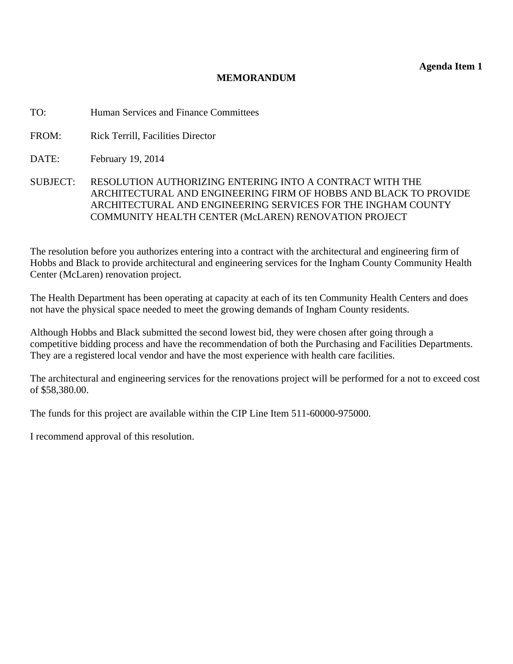**Agenda Item 1** 

#### **MEMORANDUM**

<span id="page-7-0"></span>TO: Human Services and Finance Committees

FROM: Rick Terrill, Facilities Director

DATE: February 19, 2014

SUBJECT: RESOLUTION AUTHORIZING ENTERING INTO A CONTRACT WITH THE ARCHITECTURAL AND ENGINEERING FIRM OF HOBBS AND BLACK TO PROVIDE ARCHITECTURAL AND ENGINEERING SERVICES FOR THE INGHAM COUNTY COMMUNITY HEALTH CENTER (McLAREN) RENOVATION PROJECT

The resolution before you authorizes entering into a contract with the architectural and engineering firm of Hobbs and Black to provide architectural and engineering services for the Ingham County Community Health Center (McLaren) renovation project.

The Health Department has been operating at capacity at each of its ten Community Health Centers and does not have the physical space needed to meet the growing demands of Ingham County residents.

Although Hobbs and Black submitted the second lowest bid, they were chosen after going through a competitive bidding process and have the recommendation of both the Purchasing and Facilities Departments. They are a registered local vendor and have the most experience with health care facilities.

The architectural and engineering services for the renovations project will be performed for a not to exceed cost of \$58,380.00.

The funds for this project are available within the CIP Line Item 511-60000-975000.

I recommend approval of this resolution.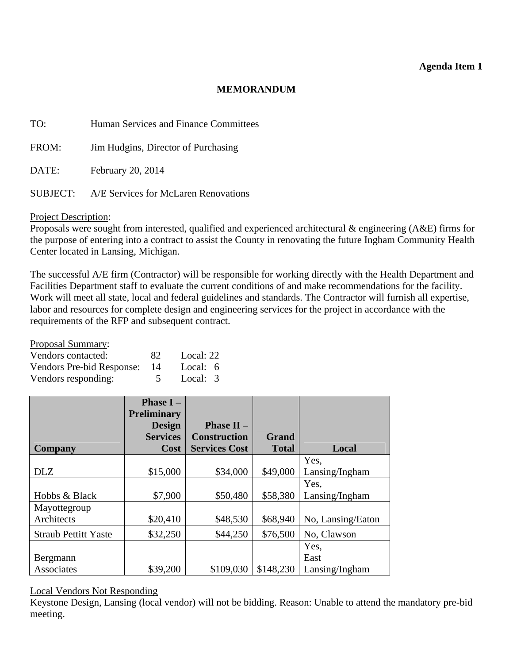#### **Agenda Item 1**

#### **MEMORANDUM**

| TO:      | Human Services and Finance Committees |
|----------|---------------------------------------|
| FROM:    | Jim Hudgins, Director of Purchasing   |
| DATE:    | February 20, 2014                     |
| SUBJECT: | A/E Services for McLaren Renovations  |

Project Description:

Proposals were sought from interested, qualified and experienced architectural & engineering (A&E) firms for the purpose of entering into a contract to assist the County in renovating the future Ingham Community Health Center located in Lansing, Michigan.

The successful A/E firm (Contractor) will be responsible for working directly with the Health Department and Facilities Department staff to evaluate the current conditions of and make recommendations for the facility. Work will meet all state, local and federal guidelines and standards. The Contractor will furnish all expertise, labor and resources for complete design and engineering services for the project in accordance with the requirements of the RFP and subsequent contract.

| <b>Proposal Summary:</b>  |     |           |  |
|---------------------------|-----|-----------|--|
| Vendors contacted:        | 82. | Local: 22 |  |
| Vendors Pre-bid Response: | -14 | Local: 6  |  |
| Vendors responding:       |     | Local: 3  |  |

|                             | <b>Phase I</b> $-$<br><b>Preliminary</b> |                                |              |                   |
|-----------------------------|------------------------------------------|--------------------------------|--------------|-------------------|
|                             | <b>Design</b>                            | <b>Phase II <math>-</math></b> |              |                   |
|                             | <b>Services</b>                          | <b>Construction</b>            | <b>Grand</b> |                   |
| <b>Company</b>              | <b>Cost</b>                              | <b>Services Cost</b>           | <b>Total</b> | Local             |
|                             |                                          |                                |              | Yes,              |
| <b>DLZ</b>                  | \$15,000                                 | \$34,000                       | \$49,000     | Lansing/Ingham    |
|                             |                                          |                                |              | Yes.              |
| Hobbs & Black               | \$7,900                                  | \$50,480                       | \$58,380     | Lansing/Ingham    |
| Mayottegroup                |                                          |                                |              |                   |
| Architects                  | \$20,410                                 | \$48,530                       | \$68,940     | No, Lansing/Eaton |
| <b>Straub Pettitt Yaste</b> | \$32,250                                 | \$44,250                       | \$76,500     | No, Clawson       |
|                             |                                          |                                |              | Yes,              |
| Bergmann                    |                                          |                                |              | East              |
| Associates                  | \$39,200                                 | \$109,030                      | \$148,230    | Lansing/Ingham    |

#### Local Vendors Not Responding

Keystone Design, Lansing (local vendor) will not be bidding. Reason: Unable to attend the mandatory pre-bid meeting.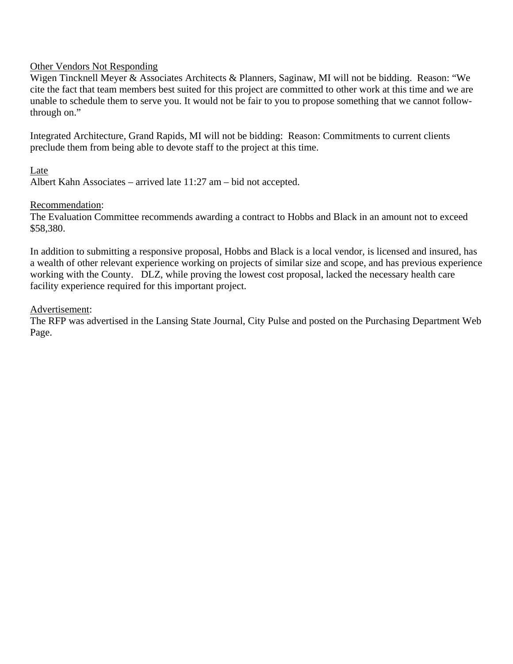#### Other Vendors Not Responding

Wigen Tincknell Meyer & Associates Architects & Planners, Saginaw, MI will not be bidding. Reason: "We cite the fact that team members best suited for this project are committed to other work at this time and we are unable to schedule them to serve you. It would not be fair to you to propose something that we cannot followthrough on."

Integrated Architecture, Grand Rapids, MI will not be bidding: Reason: Commitments to current clients preclude them from being able to devote staff to the project at this time.

#### Late

Albert Kahn Associates – arrived late 11:27 am – bid not accepted.

#### Recommendation:

The Evaluation Committee recommends awarding a contract to Hobbs and Black in an amount not to exceed \$58,380.

In addition to submitting a responsive proposal, Hobbs and Black is a local vendor, is licensed and insured, has a wealth of other relevant experience working on projects of similar size and scope, and has previous experience working with the County. DLZ, while proving the lowest cost proposal, lacked the necessary health care facility experience required for this important project.

#### Advertisement:

The RFP was advertised in the Lansing State Journal, City Pulse and posted on the Purchasing Department Web Page.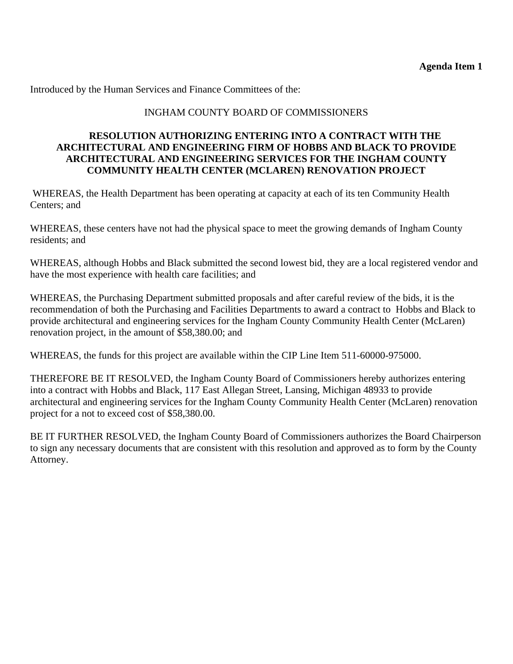Introduced by the Human Services and Finance Committees of the:

#### INGHAM COUNTY BOARD OF COMMISSIONERS

#### **RESOLUTION AUTHORIZING ENTERING INTO A CONTRACT WITH THE ARCHITECTURAL AND ENGINEERING FIRM OF HOBBS AND BLACK TO PROVIDE ARCHITECTURAL AND ENGINEERING SERVICES FOR THE INGHAM COUNTY COMMUNITY HEALTH CENTER (MCLAREN) RENOVATION PROJECT**

 WHEREAS, the Health Department has been operating at capacity at each of its ten Community Health Centers; and

WHEREAS, these centers have not had the physical space to meet the growing demands of Ingham County residents; and

WHEREAS, although Hobbs and Black submitted the second lowest bid, they are a local registered vendor and have the most experience with health care facilities; and

WHEREAS, the Purchasing Department submitted proposals and after careful review of the bids, it is the recommendation of both the Purchasing and Facilities Departments to award a contract to Hobbs and Black to provide architectural and engineering services for the Ingham County Community Health Center (McLaren) renovation project, in the amount of \$58,380.00; and

WHEREAS, the funds for this project are available within the CIP Line Item 511-60000-975000.

THEREFORE BE IT RESOLVED, the Ingham County Board of Commissioners hereby authorizes entering into a contract with Hobbs and Black, 117 East Allegan Street, Lansing, Michigan 48933 to provide architectural and engineering services for the Ingham County Community Health Center (McLaren) renovation project for a not to exceed cost of \$58,380.00.

BE IT FURTHER RESOLVED, the Ingham County Board of Commissioners authorizes the Board Chairperson to sign any necessary documents that are consistent with this resolution and approved as to form by the County Attorney.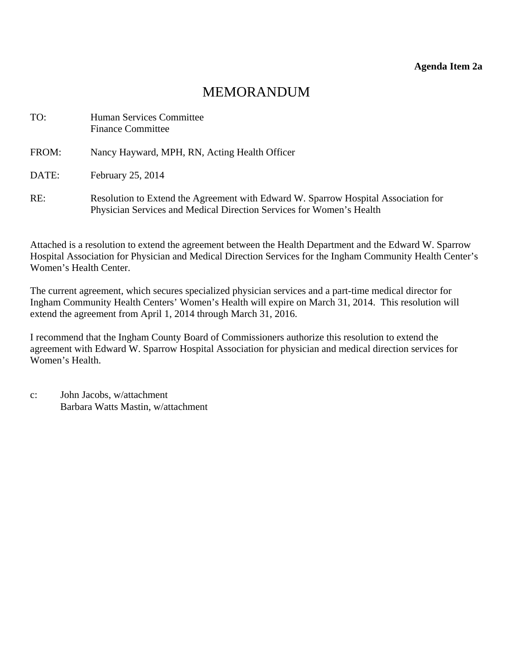## MEMORANDUM

<span id="page-11-0"></span>

| TO:   | Human Services Committee<br><b>Finance Committee</b>                                                                                                       |
|-------|------------------------------------------------------------------------------------------------------------------------------------------------------------|
| FROM: | Nancy Hayward, MPH, RN, Acting Health Officer                                                                                                              |
| DATE: | February 25, 2014                                                                                                                                          |
| RE:   | Resolution to Extend the Agreement with Edward W. Sparrow Hospital Association for<br>Physician Services and Medical Direction Services for Women's Health |

Attached is a resolution to extend the agreement between the Health Department and the Edward W. Sparrow Hospital Association for Physician and Medical Direction Services for the Ingham Community Health Center's Women's Health Center.

The current agreement, which secures specialized physician services and a part-time medical director for Ingham Community Health Centers' Women's Health will expire on March 31, 2014. This resolution will extend the agreement from April 1, 2014 through March 31, 2016.

I recommend that the Ingham County Board of Commissioners authorize this resolution to extend the agreement with Edward W. Sparrow Hospital Association for physician and medical direction services for Women's Health.

c: John Jacobs, w/attachment Barbara Watts Mastin, w/attachment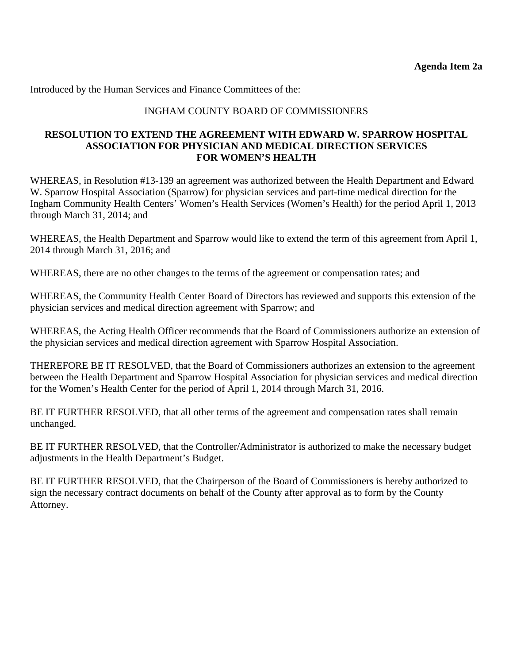Introduced by the Human Services and Finance Committees of the:

#### INGHAM COUNTY BOARD OF COMMISSIONERS

#### **RESOLUTION TO EXTEND THE AGREEMENT WITH EDWARD W. SPARROW HOSPITAL ASSOCIATION FOR PHYSICIAN AND MEDICAL DIRECTION SERVICES FOR WOMEN'S HEALTH**

WHEREAS, in Resolution #13-139 an agreement was authorized between the Health Department and Edward W. Sparrow Hospital Association (Sparrow) for physician services and part-time medical direction for the Ingham Community Health Centers' Women's Health Services (Women's Health) for the period April 1, 2013 through March 31, 2014; and

WHEREAS, the Health Department and Sparrow would like to extend the term of this agreement from April 1, 2014 through March 31, 2016; and

WHEREAS, there are no other changes to the terms of the agreement or compensation rates; and

WHEREAS, the Community Health Center Board of Directors has reviewed and supports this extension of the physician services and medical direction agreement with Sparrow; and

WHEREAS, the Acting Health Officer recommends that the Board of Commissioners authorize an extension of the physician services and medical direction agreement with Sparrow Hospital Association.

THEREFORE BE IT RESOLVED, that the Board of Commissioners authorizes an extension to the agreement between the Health Department and Sparrow Hospital Association for physician services and medical direction for the Women's Health Center for the period of April 1, 2014 through March 31, 2016.

BE IT FURTHER RESOLVED, that all other terms of the agreement and compensation rates shall remain unchanged.

BE IT FURTHER RESOLVED, that the Controller/Administrator is authorized to make the necessary budget adjustments in the Health Department's Budget.

BE IT FURTHER RESOLVED, that the Chairperson of the Board of Commissioners is hereby authorized to sign the necessary contract documents on behalf of the County after approval as to form by the County Attorney.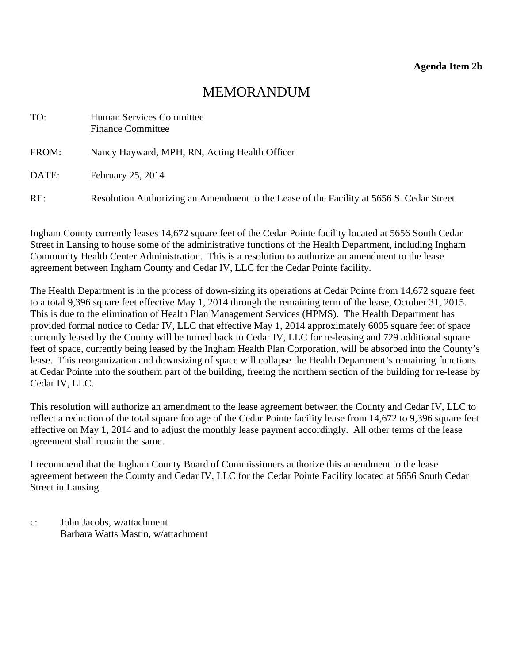### MEMORANDUM

<span id="page-13-0"></span>

| TO:   | Human Services Committee<br><b>Finance Committee</b>                                     |
|-------|------------------------------------------------------------------------------------------|
| FROM: | Nancy Hayward, MPH, RN, Acting Health Officer                                            |
| DATE: | February 25, 2014                                                                        |
| RE:   | Resolution Authorizing an Amendment to the Lease of the Facility at 5656 S. Cedar Street |

Ingham County currently leases 14,672 square feet of the Cedar Pointe facility located at 5656 South Cedar Street in Lansing to house some of the administrative functions of the Health Department, including Ingham Community Health Center Administration. This is a resolution to authorize an amendment to the lease agreement between Ingham County and Cedar IV, LLC for the Cedar Pointe facility.

The Health Department is in the process of down-sizing its operations at Cedar Pointe from 14,672 square feet to a total 9,396 square feet effective May 1, 2014 through the remaining term of the lease, October 31, 2015. This is due to the elimination of Health Plan Management Services (HPMS). The Health Department has provided formal notice to Cedar IV, LLC that effective May 1, 2014 approximately 6005 square feet of space currently leased by the County will be turned back to Cedar IV, LLC for re-leasing and 729 additional square feet of space, currently being leased by the Ingham Health Plan Corporation, will be absorbed into the County's lease. This reorganization and downsizing of space will collapse the Health Department's remaining functions at Cedar Pointe into the southern part of the building, freeing the northern section of the building for re-lease by Cedar IV, LLC.

This resolution will authorize an amendment to the lease agreement between the County and Cedar IV, LLC to reflect a reduction of the total square footage of the Cedar Pointe facility lease from 14,672 to 9,396 square feet effective on May 1, 2014 and to adjust the monthly lease payment accordingly. All other terms of the lease agreement shall remain the same.

I recommend that the Ingham County Board of Commissioners authorize this amendment to the lease agreement between the County and Cedar IV, LLC for the Cedar Pointe Facility located at 5656 South Cedar Street in Lansing.

c: John Jacobs, w/attachment Barbara Watts Mastin, w/attachment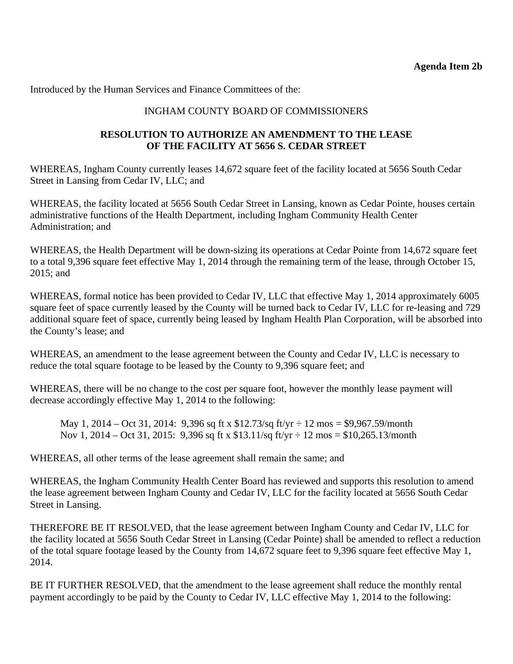Introduced by the Human Services and Finance Committees of the:

#### INGHAM COUNTY BOARD OF COMMISSIONERS

#### **RESOLUTION TO AUTHORIZE AN AMENDMENT TO THE LEASE OF THE FACILITY AT 5656 S. CEDAR STREET**

WHEREAS, Ingham County currently leases 14,672 square feet of the facility located at 5656 South Cedar Street in Lansing from Cedar IV, LLC; and

WHEREAS, the facility located at 5656 South Cedar Street in Lansing, known as Cedar Pointe, houses certain administrative functions of the Health Department, including Ingham Community Health Center Administration; and

WHEREAS, the Health Department will be down-sizing its operations at Cedar Pointe from 14,672 square feet to a total 9,396 square feet effective May 1, 2014 through the remaining term of the lease, through October 15, 2015; and

WHEREAS, formal notice has been provided to Cedar IV, LLC that effective May 1, 2014 approximately 6005 square feet of space currently leased by the County will be turned back to Cedar IV, LLC for re-leasing and 729 additional square feet of space, currently being leased by Ingham Health Plan Corporation, will be absorbed into the County's lease; and

WHEREAS, an amendment to the lease agreement between the County and Cedar IV, LLC is necessary to reduce the total square footage to be leased by the County to 9,396 square feet; and

WHEREAS, there will be no change to the cost per square foot, however the monthly lease payment will decrease accordingly effective May 1, 2014 to the following:

May 1, 2014 – Oct 31, 2014: 9,396 sq ft x  $$12.73/sq$  ft/yr  $\div 12 \text{ mos} = $9,967.59/\text{month}$ Nov 1, 2014 – Oct 31, 2015: 9,396 sq ft x  $$13.11/sq$  ft/yr  $\div 12 \text{ mos} = $10,265.13/\text{month}$ 

WHEREAS, all other terms of the lease agreement shall remain the same; and

WHEREAS, the Ingham Community Health Center Board has reviewed and supports this resolution to amend the lease agreement between Ingham County and Cedar IV, LLC for the facility located at 5656 South Cedar Street in Lansing.

THEREFORE BE IT RESOLVED, that the lease agreement between Ingham County and Cedar IV, LLC for the facility located at 5656 South Cedar Street in Lansing (Cedar Pointe) shall be amended to reflect a reduction of the total square footage leased by the County from 14,672 square feet to 9,396 square feet effective May 1, 2014.

BE IT FURTHER RESOLVED, that the amendment to the lease agreement shall reduce the monthly rental payment accordingly to be paid by the County to Cedar IV, LLC effective May 1, 2014 to the following: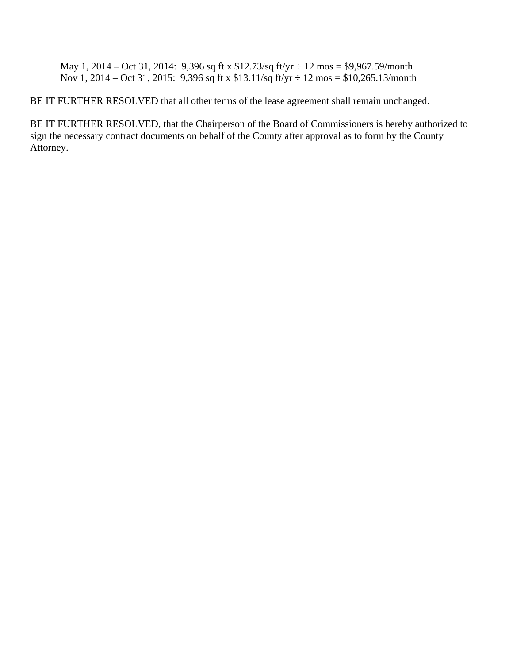May 1, 2014 – Oct 31, 2014: 9,396 sq ft x \$12.73/sq ft/yr ÷ 12 mos = \$9,967.59/month Nov 1, 2014 – Oct 31, 2015: 9,396 sq ft x \$13.11/sq ft/yr ÷ 12 mos = \$10,265.13/month

BE IT FURTHER RESOLVED that all other terms of the lease agreement shall remain unchanged.

BE IT FURTHER RESOLVED, that the Chairperson of the Board of Commissioners is hereby authorized to sign the necessary contract documents on behalf of the County after approval as to form by the County Attorney.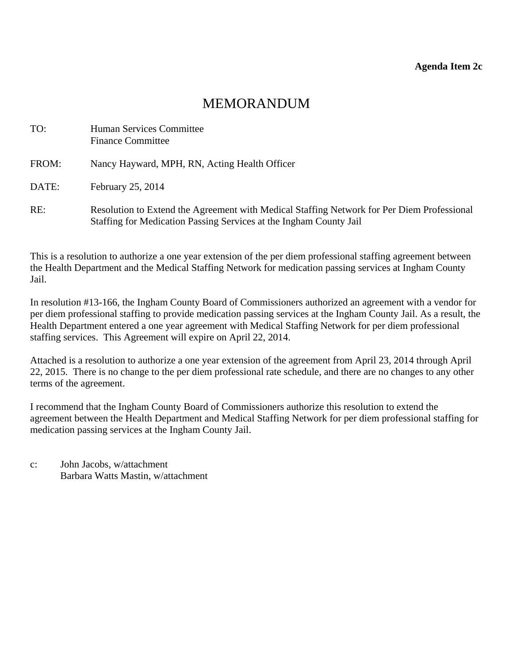## MEMORANDUM

<span id="page-16-0"></span>

| TO:   | Human Services Committee<br><b>Finance Committee</b>                                                                                                             |
|-------|------------------------------------------------------------------------------------------------------------------------------------------------------------------|
| FROM: | Nancy Hayward, MPH, RN, Acting Health Officer                                                                                                                    |
| DATE: | February 25, 2014                                                                                                                                                |
| RE:   | Resolution to Extend the Agreement with Medical Staffing Network for Per Diem Professional<br>Staffing for Medication Passing Services at the Ingham County Jail |

This is a resolution to authorize a one year extension of the per diem professional staffing agreement between the Health Department and the Medical Staffing Network for medication passing services at Ingham County Jail.

In resolution #13-166, the Ingham County Board of Commissioners authorized an agreement with a vendor for per diem professional staffing to provide medication passing services at the Ingham County Jail. As a result, the Health Department entered a one year agreement with Medical Staffing Network for per diem professional staffing services. This Agreement will expire on April 22, 2014.

Attached is a resolution to authorize a one year extension of the agreement from April 23, 2014 through April 22, 2015. There is no change to the per diem professional rate schedule, and there are no changes to any other terms of the agreement.

I recommend that the Ingham County Board of Commissioners authorize this resolution to extend the agreement between the Health Department and Medical Staffing Network for per diem professional staffing for medication passing services at the Ingham County Jail.

c: John Jacobs, w/attachment Barbara Watts Mastin, w/attachment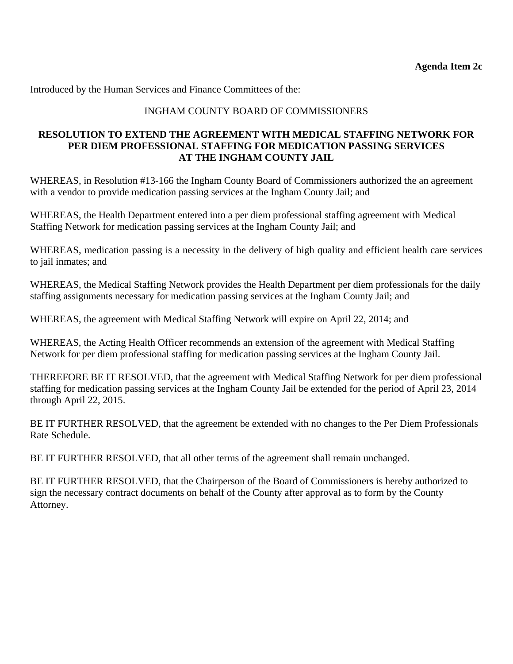Introduced by the Human Services and Finance Committees of the:

#### INGHAM COUNTY BOARD OF COMMISSIONERS

#### **RESOLUTION TO EXTEND THE AGREEMENT WITH MEDICAL STAFFING NETWORK FOR PER DIEM PROFESSIONAL STAFFING FOR MEDICATION PASSING SERVICES AT THE INGHAM COUNTY JAIL**

WHEREAS, in Resolution #13-166 the Ingham County Board of Commissioners authorized the an agreement with a vendor to provide medication passing services at the Ingham County Jail; and

WHEREAS, the Health Department entered into a per diem professional staffing agreement with Medical Staffing Network for medication passing services at the Ingham County Jail; and

WHEREAS, medication passing is a necessity in the delivery of high quality and efficient health care services to jail inmates; and

WHEREAS, the Medical Staffing Network provides the Health Department per diem professionals for the daily staffing assignments necessary for medication passing services at the Ingham County Jail; and

WHEREAS, the agreement with Medical Staffing Network will expire on April 22, 2014; and

WHEREAS, the Acting Health Officer recommends an extension of the agreement with Medical Staffing Network for per diem professional staffing for medication passing services at the Ingham County Jail.

THEREFORE BE IT RESOLVED, that the agreement with Medical Staffing Network for per diem professional staffing for medication passing services at the Ingham County Jail be extended for the period of April 23, 2014 through April 22, 2015.

BE IT FURTHER RESOLVED, that the agreement be extended with no changes to the Per Diem Professionals Rate Schedule.

BE IT FURTHER RESOLVED, that all other terms of the agreement shall remain unchanged.

BE IT FURTHER RESOLVED, that the Chairperson of the Board of Commissioners is hereby authorized to sign the necessary contract documents on behalf of the County after approval as to form by the County Attorney.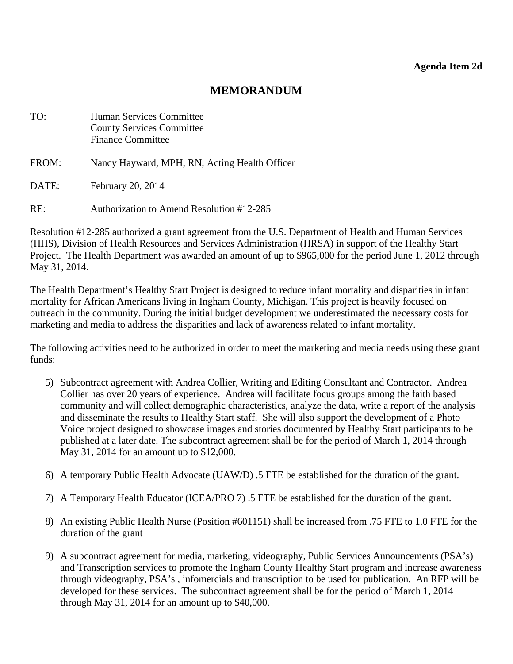### **MEMORANDUM**

<span id="page-18-0"></span>

| TO:   | <b>Human Services Committee</b><br><b>County Services Committee</b><br><b>Finance Committee</b> |
|-------|-------------------------------------------------------------------------------------------------|
| FROM: | Nancy Hayward, MPH, RN, Acting Health Officer                                                   |
| DATE: | February 20, 2014                                                                               |
| RE:   | <b>Authorization to Amend Resolution #12-285</b>                                                |

Resolution #12-285 authorized a grant agreement from the U.S. Department of Health and Human Services (HHS), Division of Health Resources and Services Administration (HRSA) in support of the Healthy Start Project. The Health Department was awarded an amount of up to \$965,000 for the period June 1, 2012 through May 31, 2014.

The Health Department's Healthy Start Project is designed to reduce infant mortality and disparities in infant mortality for African Americans living in Ingham County, Michigan. This project is heavily focused on outreach in the community. During the initial budget development we underestimated the necessary costs for marketing and media to address the disparities and lack of awareness related to infant mortality.

The following activities need to be authorized in order to meet the marketing and media needs using these grant funds:

- 5) Subcontract agreement with Andrea Collier, Writing and Editing Consultant and Contractor. Andrea Collier has over 20 years of experience. Andrea will facilitate focus groups among the faith based community and will collect demographic characteristics, analyze the data, write a report of the analysis and disseminate the results to Healthy Start staff. She will also support the development of a Photo Voice project designed to showcase images and stories documented by Healthy Start participants to be published at a later date. The subcontract agreement shall be for the period of March 1, 2014 through May 31, 2014 for an amount up to \$12,000.
- 6) A temporary Public Health Advocate (UAW/D) .5 FTE be established for the duration of the grant.
- 7) A Temporary Health Educator (ICEA/PRO 7) .5 FTE be established for the duration of the grant.
- 8) An existing Public Health Nurse (Position #601151) shall be increased from .75 FTE to 1.0 FTE for the duration of the grant
- 9) A subcontract agreement for media, marketing, videography, Public Services Announcements (PSA's) and Transcription services to promote the Ingham County Healthy Start program and increase awareness through videography, PSA's , infomercials and transcription to be used for publication. An RFP will be developed for these services. The subcontract agreement shall be for the period of March 1, 2014 through May 31, 2014 for an amount up to \$40,000.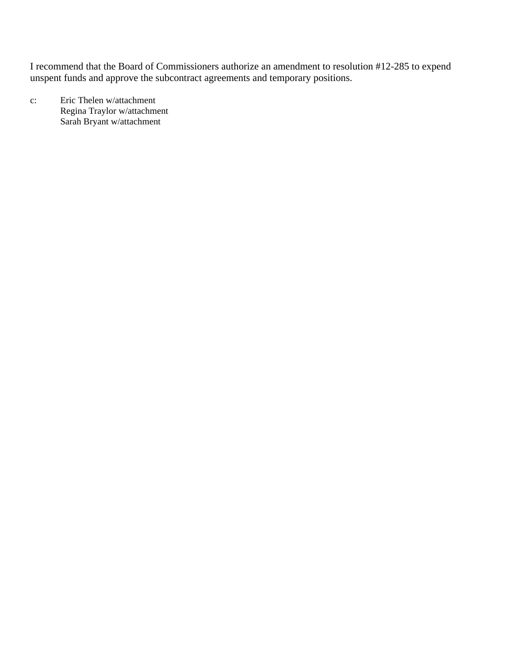I recommend that the Board of Commissioners authorize an amendment to resolution #12-285 to expend unspent funds and approve the subcontract agreements and temporary positions.

c: Eric Thelen w/attachment Regina Traylor w/attachment Sarah Bryant w/attachment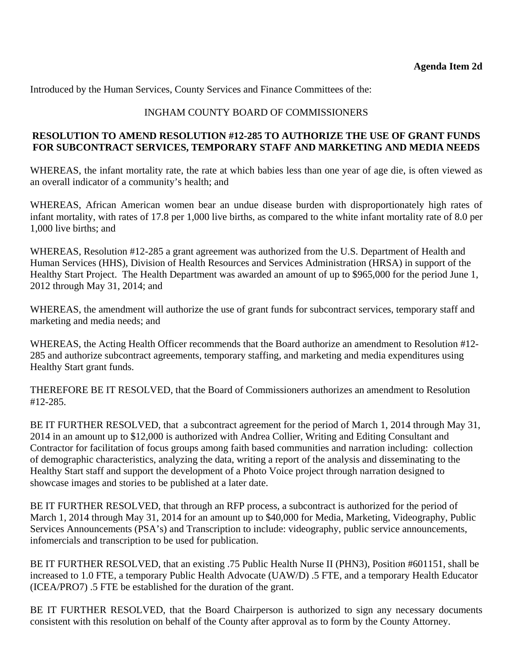Introduced by the Human Services, County Services and Finance Committees of the:

#### INGHAM COUNTY BOARD OF COMMISSIONERS

#### **RESOLUTION TO AMEND RESOLUTION #12-285 TO AUTHORIZE THE USE OF GRANT FUNDS FOR SUBCONTRACT SERVICES, TEMPORARY STAFF AND MARKETING AND MEDIA NEEDS**

WHEREAS, the infant mortality rate, the rate at which babies less than one year of age die, is often viewed as an overall indicator of a community's health; and

WHEREAS, African American women bear an undue disease burden with disproportionately high rates of infant mortality, with rates of 17.8 per 1,000 live births, as compared to the white infant mortality rate of 8.0 per 1,000 live births; and

WHEREAS, Resolution #12-285 a grant agreement was authorized from the U.S. Department of Health and Human Services (HHS), Division of Health Resources and Services Administration (HRSA) in support of the Healthy Start Project. The Health Department was awarded an amount of up to \$965,000 for the period June 1, 2012 through May 31, 2014; and

WHEREAS, the amendment will authorize the use of grant funds for subcontract services, temporary staff and marketing and media needs; and

WHEREAS, the Acting Health Officer recommends that the Board authorize an amendment to Resolution #12- 285 and authorize subcontract agreements, temporary staffing, and marketing and media expenditures using Healthy Start grant funds.

THEREFORE BE IT RESOLVED, that the Board of Commissioners authorizes an amendment to Resolution #12-285.

BE IT FURTHER RESOLVED, that a subcontract agreement for the period of March 1, 2014 through May 31, 2014 in an amount up to \$12,000 is authorized with Andrea Collier, Writing and Editing Consultant and Contractor for facilitation of focus groups among faith based communities and narration including: collection of demographic characteristics, analyzing the data, writing a report of the analysis and disseminating to the Healthy Start staff and support the development of a Photo Voice project through narration designed to showcase images and stories to be published at a later date.

BE IT FURTHER RESOLVED, that through an RFP process, a subcontract is authorized for the period of March 1, 2014 through May 31, 2014 for an amount up to \$40,000 for Media, Marketing, Videography, Public Services Announcements (PSA's) and Transcription to include: videography, public service announcements, infomercials and transcription to be used for publication.

BE IT FURTHER RESOLVED, that an existing .75 Public Health Nurse II (PHN3), Position #601151, shall be increased to 1.0 FTE, a temporary Public Health Advocate (UAW/D) .5 FTE, and a temporary Health Educator (ICEA/PRO7) .5 FTE be established for the duration of the grant.

BE IT FURTHER RESOLVED, that the Board Chairperson is authorized to sign any necessary documents consistent with this resolution on behalf of the County after approval as to form by the County Attorney.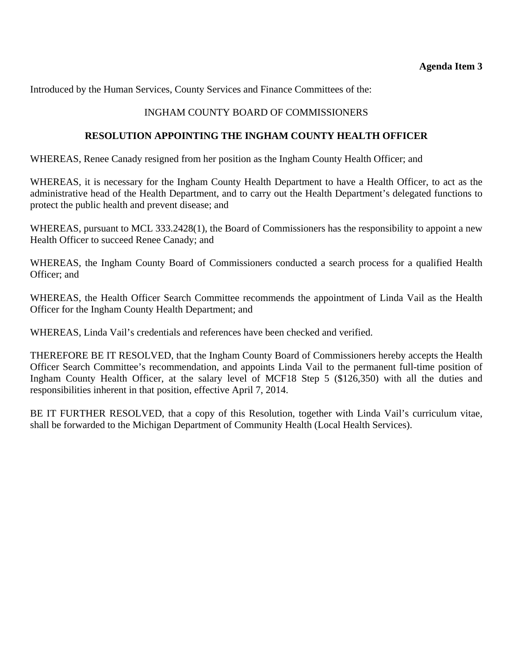<span id="page-21-0"></span>Introduced by the Human Services, County Services and Finance Committees of the:

#### INGHAM COUNTY BOARD OF COMMISSIONERS

#### **RESOLUTION APPOINTING THE INGHAM COUNTY HEALTH OFFICER**

WHEREAS, Renee Canady resigned from her position as the Ingham County Health Officer; and

WHEREAS, it is necessary for the Ingham County Health Department to have a Health Officer, to act as the administrative head of the Health Department, and to carry out the Health Department's delegated functions to protect the public health and prevent disease; and

WHEREAS, pursuant to MCL 333.2428(1), the Board of Commissioners has the responsibility to appoint a new Health Officer to succeed Renee Canady; and

WHEREAS, the Ingham County Board of Commissioners conducted a search process for a qualified Health Officer; and

WHEREAS, the Health Officer Search Committee recommends the appointment of Linda Vail as the Health Officer for the Ingham County Health Department; and

WHEREAS, Linda Vail's credentials and references have been checked and verified.

THEREFORE BE IT RESOLVED, that the Ingham County Board of Commissioners hereby accepts the Health Officer Search Committee's recommendation, and appoints Linda Vail to the permanent full-time position of Ingham County Health Officer, at the salary level of MCF18 Step 5 (\$126,350) with all the duties and responsibilities inherent in that position, effective April 7, 2014.

BE IT FURTHER RESOLVED, that a copy of this Resolution, together with Linda Vail's curriculum vitae, shall be forwarded to the Michigan Department of Community Health (Local Health Services).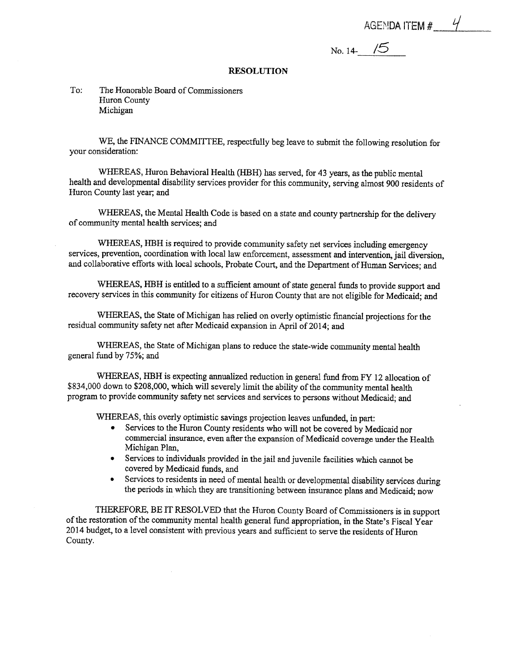AGENDA ITEM  $#_1$  4

No. 14- $\frac{15}{\sqrt{5}}$ 

#### **RESOLUTION**

#### To: The Honorable Board of Commissioners Huron County Michigan

WE, the FINANCE COMMITTEE, respectfully beg leave to submit the following resolution for vour consideration:

WHEREAS, Huron Behavioral Health (HBH) has served, for 43 years, as the public mental health and developmental disability services provider for this community, serving almost 900 residents of Huron County last year; and

WHEREAS, the Mental Health Code is based on a state and county partnership for the delivery of community mental health services; and

WHEREAS, HBH is required to provide community safety net services including emergency services, prevention, coordination with local law enforcement, assessment and intervention, jail diversion, and collaborative efforts with local schools, Probate Court, and the Department of Human Services: and

WHEREAS, HBH is entitled to a sufficient amount of state general funds to provide support and recovery services in this community for citizens of Huron County that are not eligible for Medicaid; and

WHEREAS, the State of Michigan has relied on overly optimistic financial projections for the residual community safety net after Medicaid expansion in April of 2014; and

WHEREAS, the State of Michigan plans to reduce the state-wide community mental health general fund by 75%; and

WHEREAS, HBH is expecting annualized reduction in general fund from FY 12 allocation of \$834,000 down to \$208,000, which will severely limit the ability of the community mental health program to provide community safety net services and services to persons without Medicaid; and

WHEREAS, this overly optimistic savings projection leaves unfunded, in part:

- Services to the Huron County residents who will not be covered by Medicaid nor commercial insurance, even after the expansion of Medicaid coverage under the Health Michigan Plan,
- Services to individuals provided in the jail and juvenile facilities which cannot be  $\bullet$ covered by Medicaid funds, and
- Services to residents in need of mental health or developmental disability services during  $\bullet$ the periods in which they are transitioning between insurance plans and Medicaid; now

THEREFORE, BE IT RESOLVED that the Huron County Board of Commissioners is in support of the restoration of the community mental health general fund appropriation, in the State's Fiscal Year 2014 budget, to a level consistent with previous years and sufficient to serve the residents of Huron County.